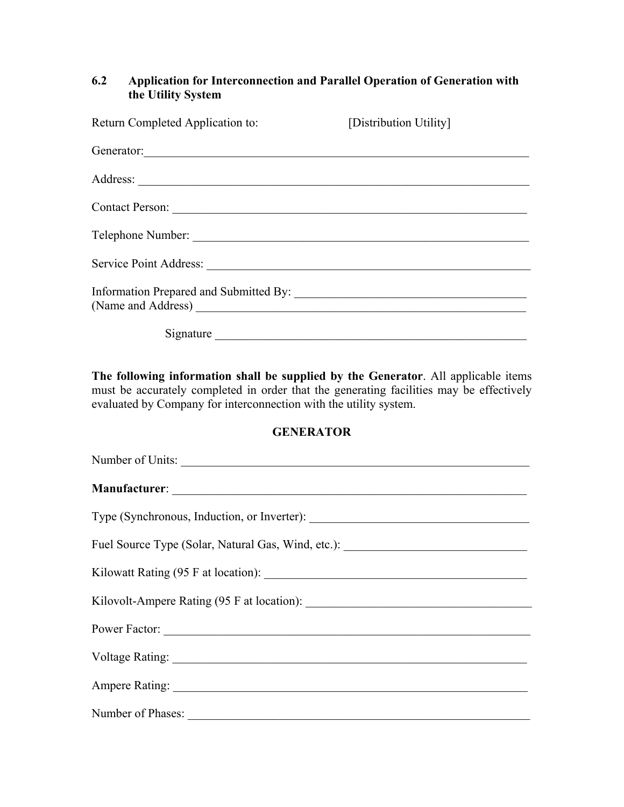## **6.2 Application for Interconnection and Parallel Operation of Generation with the Utility System**

| Return Completed Application to:                                                                               | [Distribution Utility] |  |
|----------------------------------------------------------------------------------------------------------------|------------------------|--|
| Generator:                                                                                                     |                        |  |
|                                                                                                                |                        |  |
|                                                                                                                |                        |  |
| Telephone Number:                                                                                              |                        |  |
| Service Point Address: 2008. 2009. 2010. 2010. 2012. 2013. 2014. 2015. 2016. 2017. 2018. 2019. 2016. 2017. 201 |                        |  |
|                                                                                                                |                        |  |
| Signature                                                                                                      |                        |  |

**The following information shall be supplied by the Generator**. All applicable items must be accurately completed in order that the generating facilities may be effectively evaluated by Company for interconnection with the utility system.

## **GENERATOR**

| Number of Units:                                                                 |
|----------------------------------------------------------------------------------|
|                                                                                  |
|                                                                                  |
| Fuel Source Type (Solar, Natural Gas, Wind, etc.): _____________________________ |
|                                                                                  |
|                                                                                  |
|                                                                                  |
|                                                                                  |
| Ampere Rating:                                                                   |
|                                                                                  |